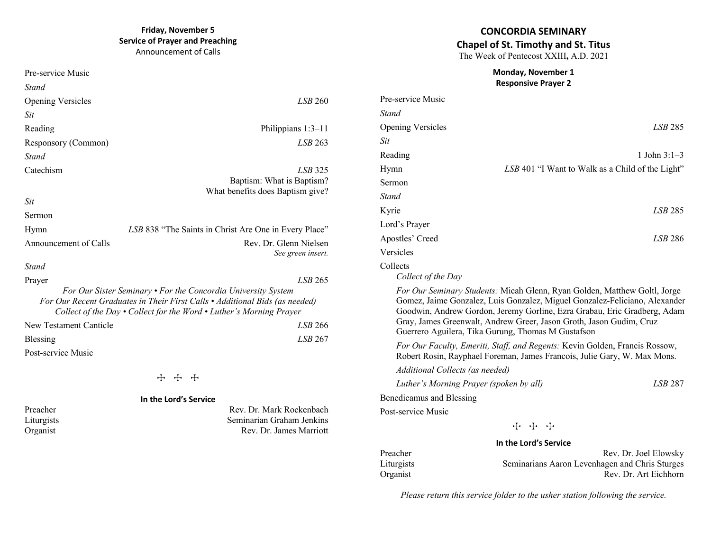# **Friday, November 5 Service of Prayer and Preaching**

Announcement of Calls

| Pre-service Music        |                                                                                                                                                                                                                                 |
|--------------------------|---------------------------------------------------------------------------------------------------------------------------------------------------------------------------------------------------------------------------------|
| Stand                    |                                                                                                                                                                                                                                 |
| <b>Opening Versicles</b> | LSB 260                                                                                                                                                                                                                         |
| Sit                      |                                                                                                                                                                                                                                 |
| Reading                  | Philippians $1:3-11$                                                                                                                                                                                                            |
| Responsory (Common)      | $LSB$ 263                                                                                                                                                                                                                       |
| Stand                    |                                                                                                                                                                                                                                 |
| Catechism                | LSB 325<br>Baptism: What is Baptism?<br>What benefits does Baptism give?                                                                                                                                                        |
| Sit                      |                                                                                                                                                                                                                                 |
| Sermon                   |                                                                                                                                                                                                                                 |
| Hymn                     | LSB 838 "The Saints in Christ Are One in Every Place"                                                                                                                                                                           |
| Announcement of Calls    | Rev. Dr. Glenn Nielsen<br>See green insert.                                                                                                                                                                                     |
| Stand                    |                                                                                                                                                                                                                                 |
| Prayer                   | LSB 265                                                                                                                                                                                                                         |
|                          | For Our Sister Seminary • For the Concordia University System<br>For Our Recent Graduates in Their First Calls • Additional Bids (as needed)<br>Collect of the Day $\cdot$ Collect for the Word $\cdot$ Luther's Morning Prayer |
| New Testament Canticle   | LSB 266                                                                                                                                                                                                                         |
| Blessing                 | LSB 267                                                                                                                                                                                                                         |
| Post-service Music       |                                                                                                                                                                                                                                 |

**T** + +

# **In the Lord's Service**

Preacher Rev. Dr. Mark Rockenbach<br>Liturgists Seminarian Graham Jenkins Liturgists Seminarian Graham Jenkins Rev. Dr. James Marriott